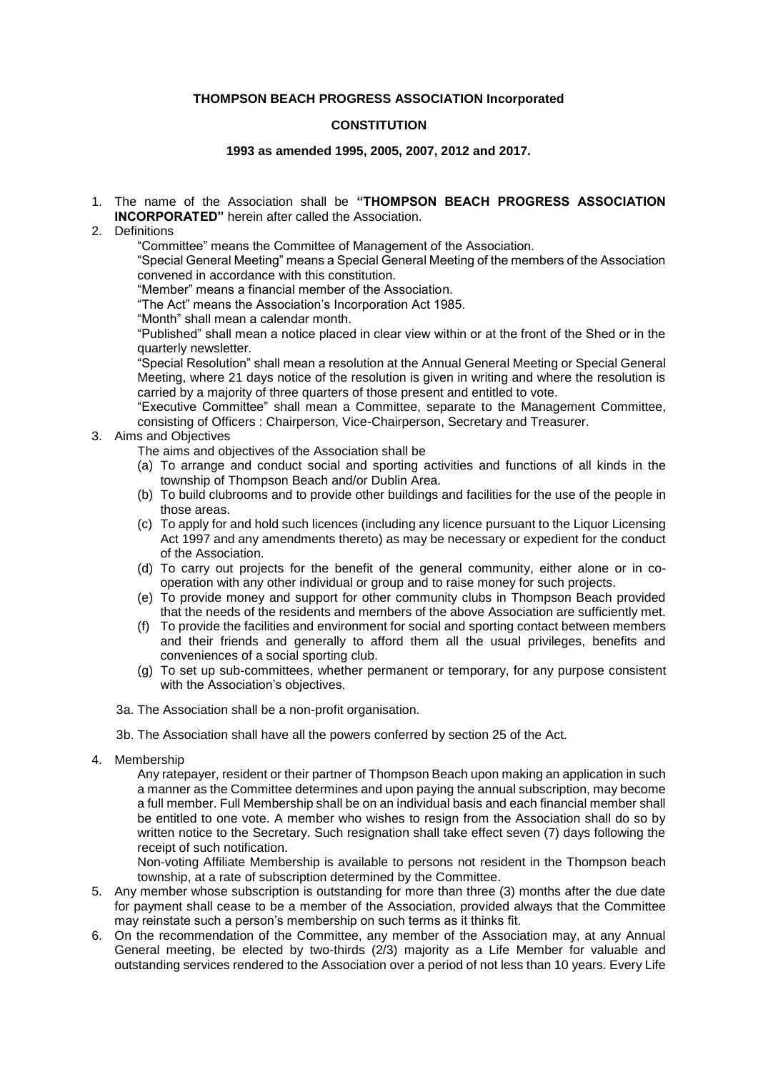# **THOMPSON BEACH PROGRESS ASSOCIATION Incorporated**

# **CONSTITUTION**

## **1993 as amended 1995, 2005, 2007, 2012 and 2017.**

- 1. The name of the Association shall be **"THOMPSON BEACH PROGRESS ASSOCIATION INCORPORATED"** herein after called the Association.
- 2. Definitions

"Committee" means the Committee of Management of the Association.

"Special General Meeting" means a Special General Meeting of the members of the Association convened in accordance with this constitution.

"Member" means a financial member of the Association.

"The Act" means the Association's Incorporation Act 1985.

"Month" shall mean a calendar month.

"Published" shall mean a notice placed in clear view within or at the front of the Shed or in the quarterly newsletter.

"Special Resolution" shall mean a resolution at the Annual General Meeting or Special General Meeting, where 21 days notice of the resolution is given in writing and where the resolution is carried by a majority of three quarters of those present and entitled to vote.

"Executive Committee" shall mean a Committee, separate to the Management Committee, consisting of Officers : Chairperson, Vice-Chairperson, Secretary and Treasurer.

### 3. Aims and Objectives

The aims and objectives of the Association shall be

- (a) To arrange and conduct social and sporting activities and functions of all kinds in the township of Thompson Beach and/or Dublin Area.
- (b) To build clubrooms and to provide other buildings and facilities for the use of the people in those areas.
- (c) To apply for and hold such licences (including any licence pursuant to the Liquor Licensing Act 1997 and any amendments thereto) as may be necessary or expedient for the conduct of the Association.
- (d) To carry out projects for the benefit of the general community, either alone or in cooperation with any other individual or group and to raise money for such projects.
- (e) To provide money and support for other community clubs in Thompson Beach provided that the needs of the residents and members of the above Association are sufficiently met.
- (f) To provide the facilities and environment for social and sporting contact between members and their friends and generally to afford them all the usual privileges, benefits and conveniences of a social sporting club.
- (g) To set up sub-committees, whether permanent or temporary, for any purpose consistent with the Association's objectives.

### 3a. The Association shall be a non-profit organisation.

3b. The Association shall have all the powers conferred by section 25 of the Act.

4. Membership

Any ratepayer, resident or their partner of Thompson Beach upon making an application in such a manner as the Committee determines and upon paying the annual subscription, may become a full member. Full Membership shall be on an individual basis and each financial member shall be entitled to one vote. A member who wishes to resign from the Association shall do so by written notice to the Secretary. Such resignation shall take effect seven (7) days following the receipt of such notification.

Non-voting Affiliate Membership is available to persons not resident in the Thompson beach township, at a rate of subscription determined by the Committee.

- 5. Any member whose subscription is outstanding for more than three (3) months after the due date for payment shall cease to be a member of the Association, provided always that the Committee may reinstate such a person's membership on such terms as it thinks fit.
- 6. On the recommendation of the Committee, any member of the Association may, at any Annual General meeting, be elected by two-thirds (2/3) majority as a Life Member for valuable and outstanding services rendered to the Association over a period of not less than 10 years. Every Life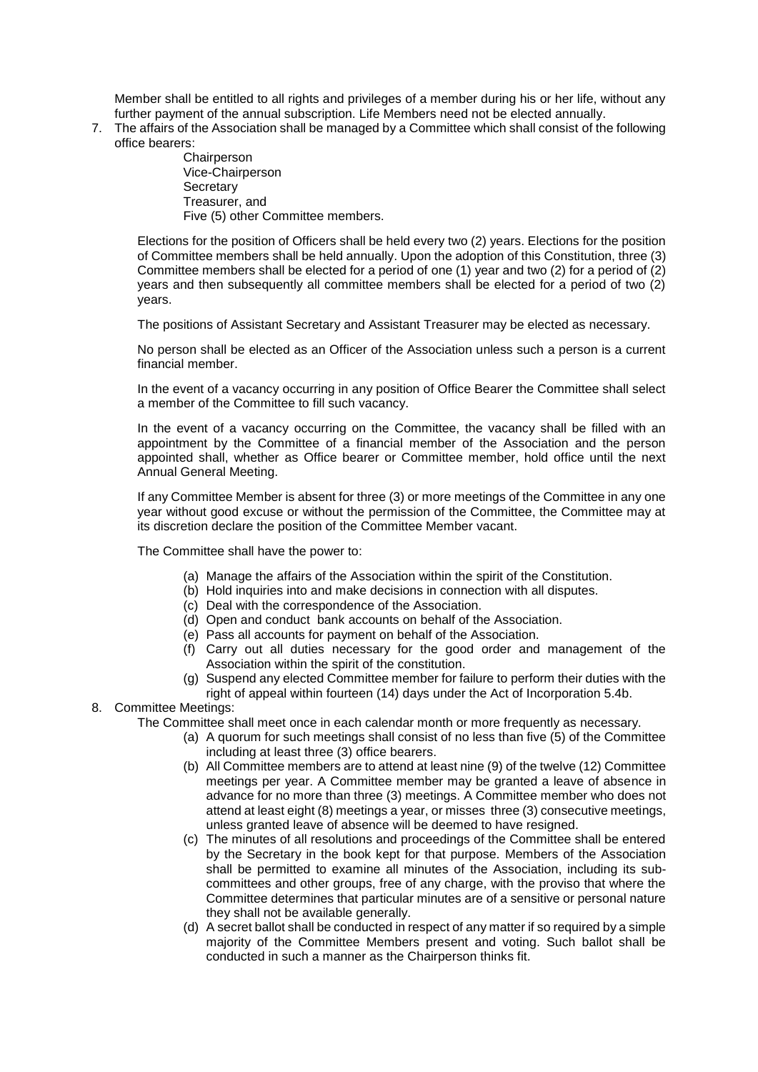Member shall be entitled to all rights and privileges of a member during his or her life, without any further payment of the annual subscription. Life Members need not be elected annually.

7. The affairs of the Association shall be managed by a Committee which shall consist of the following office bearers:

> **Chairperson** Vice-Chairperson **Secretary** Treasurer, and Five (5) other Committee members.

Elections for the position of Officers shall be held every two (2) years. Elections for the position of Committee members shall be held annually. Upon the adoption of this Constitution, three (3) Committee members shall be elected for a period of one (1) year and two (2) for a period of (2) years and then subsequently all committee members shall be elected for a period of two (2) years.

The positions of Assistant Secretary and Assistant Treasurer may be elected as necessary.

No person shall be elected as an Officer of the Association unless such a person is a current financial member.

In the event of a vacancy occurring in any position of Office Bearer the Committee shall select a member of the Committee to fill such vacancy.

In the event of a vacancy occurring on the Committee, the vacancy shall be filled with an appointment by the Committee of a financial member of the Association and the person appointed shall, whether as Office bearer or Committee member, hold office until the next Annual General Meeting.

If any Committee Member is absent for three (3) or more meetings of the Committee in any one year without good excuse or without the permission of the Committee, the Committee may at its discretion declare the position of the Committee Member vacant.

The Committee shall have the power to:

- (a) Manage the affairs of the Association within the spirit of the Constitution.
- (b) Hold inquiries into and make decisions in connection with all disputes.
- (c) Deal with the correspondence of the Association.
- (d) Open and conduct bank accounts on behalf of the Association.
- (e) Pass all accounts for payment on behalf of the Association.
- (f) Carry out all duties necessary for the good order and management of the Association within the spirit of the constitution.
- (g) Suspend any elected Committee member for failure to perform their duties with the right of appeal within fourteen (14) days under the Act of Incorporation 5.4b.
- 8. Committee Meetings:

The Committee shall meet once in each calendar month or more frequently as necessary.

- (a) A quorum for such meetings shall consist of no less than five (5) of the Committee including at least three (3) office bearers.
- (b) All Committee members are to attend at least nine (9) of the twelve (12) Committee meetings per year. A Committee member may be granted a leave of absence in advance for no more than three (3) meetings. A Committee member who does not attend at least eight (8) meetings a year, or misses three (3) consecutive meetings, unless granted leave of absence will be deemed to have resigned.
- (c) The minutes of all resolutions and proceedings of the Committee shall be entered by the Secretary in the book kept for that purpose. Members of the Association shall be permitted to examine all minutes of the Association, including its subcommittees and other groups, free of any charge, with the proviso that where the Committee determines that particular minutes are of a sensitive or personal nature they shall not be available generally.
- (d) A secret ballot shall be conducted in respect of any matter if so required by a simple majority of the Committee Members present and voting. Such ballot shall be conducted in such a manner as the Chairperson thinks fit.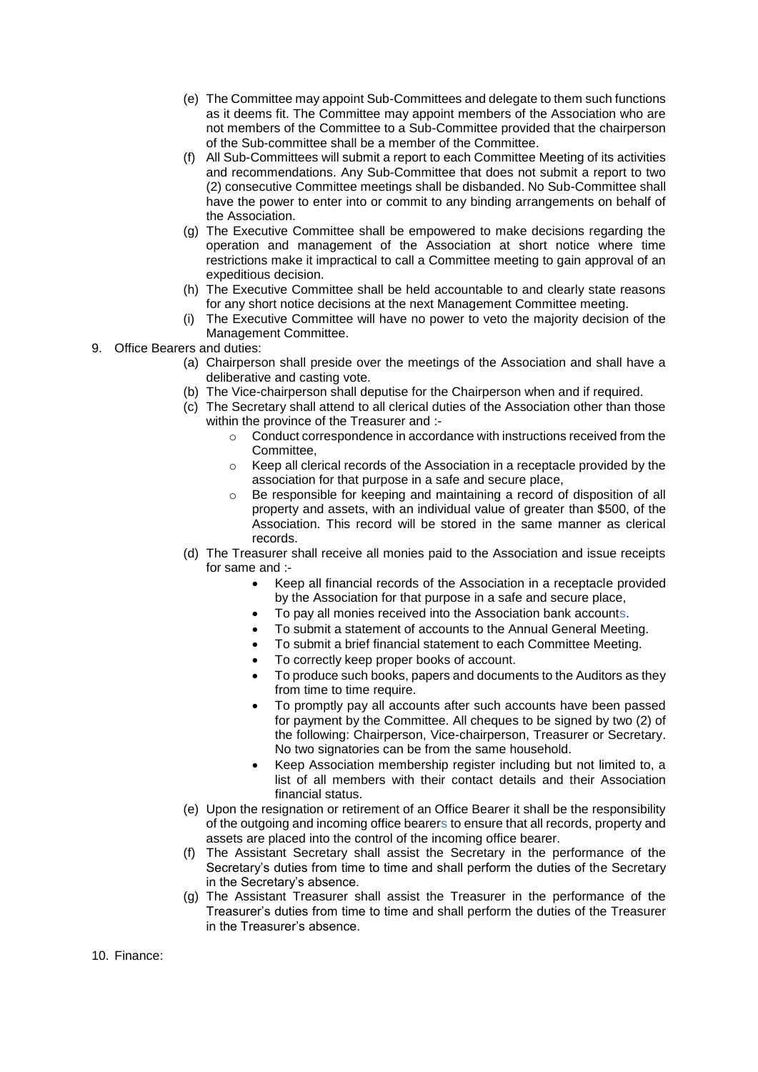- (e) The Committee may appoint Sub-Committees and delegate to them such functions as it deems fit. The Committee may appoint members of the Association who are not members of the Committee to a Sub-Committee provided that the chairperson of the Sub-committee shall be a member of the Committee.
- (f) All Sub-Committees will submit a report to each Committee Meeting of its activities and recommendations. Any Sub-Committee that does not submit a report to two (2) consecutive Committee meetings shall be disbanded. No Sub-Committee shall have the power to enter into or commit to any binding arrangements on behalf of the Association.
- (g) The Executive Committee shall be empowered to make decisions regarding the operation and management of the Association at short notice where time restrictions make it impractical to call a Committee meeting to gain approval of an expeditious decision.
- (h) The Executive Committee shall be held accountable to and clearly state reasons for any short notice decisions at the next Management Committee meeting.
- (i) The Executive Committee will have no power to veto the majority decision of the Management Committee.
- 9. Office Bearers and duties:
	- (a) Chairperson shall preside over the meetings of the Association and shall have a deliberative and casting vote.
	- (b) The Vice-chairperson shall deputise for the Chairperson when and if required.
	- (c) The Secretary shall attend to all clerical duties of the Association other than those within the province of the Treasurer and :-
		- $\circ$  Conduct correspondence in accordance with instructions received from the Committee,
		- o Keep all clerical records of the Association in a receptacle provided by the association for that purpose in a safe and secure place,
		- o Be responsible for keeping and maintaining a record of disposition of all property and assets, with an individual value of greater than \$500, of the Association. This record will be stored in the same manner as clerical records.
	- (d) The Treasurer shall receive all monies paid to the Association and issue receipts for same and :-
		- Keep all financial records of the Association in a receptacle provided by the Association for that purpose in a safe and secure place,
		- To pay all monies received into the Association bank accounts.
		- To submit a statement of accounts to the Annual General Meeting.
		- To submit a brief financial statement to each Committee Meeting.
		- To correctly keep proper books of account.
		- To produce such books, papers and documents to the Auditors as they from time to time require.
		- To promptly pay all accounts after such accounts have been passed for payment by the Committee. All cheques to be signed by two (2) of the following: Chairperson, Vice-chairperson, Treasurer or Secretary. No two signatories can be from the same household.
		- Keep Association membership register including but not limited to, a list of all members with their contact details and their Association financial status.
	- (e) Upon the resignation or retirement of an Office Bearer it shall be the responsibility of the outgoing and incoming office bearers to ensure that all records, property and assets are placed into the control of the incoming office bearer.
	- (f) The Assistant Secretary shall assist the Secretary in the performance of the Secretary's duties from time to time and shall perform the duties of the Secretary in the Secretary's absence.
	- (g) The Assistant Treasurer shall assist the Treasurer in the performance of the Treasurer's duties from time to time and shall perform the duties of the Treasurer in the Treasurer's absence.

10. Finance: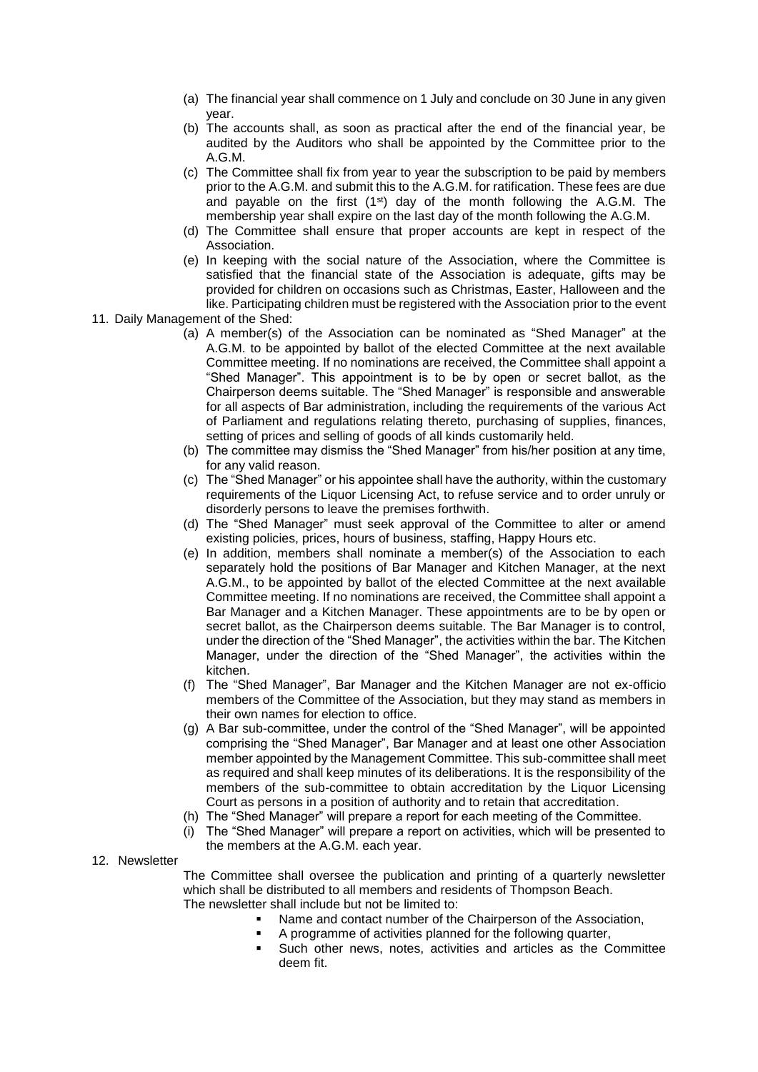- (a) The financial year shall commence on 1 July and conclude on 30 June in any given year.
- (b) The accounts shall, as soon as practical after the end of the financial year, be audited by the Auditors who shall be appointed by the Committee prior to the A.G.M.
- (c) The Committee shall fix from year to year the subscription to be paid by members prior to the A.G.M. and submit this to the A.G.M. for ratification. These fees are due and payable on the first  $(1<sup>st</sup>)$  day of the month following the A.G.M. The membership year shall expire on the last day of the month following the A.G.M.
- (d) The Committee shall ensure that proper accounts are kept in respect of the Association.
- (e) In keeping with the social nature of the Association, where the Committee is satisfied that the financial state of the Association is adequate, gifts may be provided for children on occasions such as Christmas, Easter, Halloween and the like. Participating children must be registered with the Association prior to the event
- 11. Daily Management of the Shed:
	- (a) A member(s) of the Association can be nominated as "Shed Manager" at the A.G.M. to be appointed by ballot of the elected Committee at the next available Committee meeting. If no nominations are received, the Committee shall appoint a "Shed Manager". This appointment is to be by open or secret ballot, as the Chairperson deems suitable. The "Shed Manager" is responsible and answerable for all aspects of Bar administration, including the requirements of the various Act of Parliament and regulations relating thereto, purchasing of supplies, finances, setting of prices and selling of goods of all kinds customarily held.
	- (b) The committee may dismiss the "Shed Manager" from his/her position at any time, for any valid reason.
	- (c) The "Shed Manager" or his appointee shall have the authority, within the customary requirements of the Liquor Licensing Act, to refuse service and to order unruly or disorderly persons to leave the premises forthwith.
	- (d) The "Shed Manager" must seek approval of the Committee to alter or amend existing policies, prices, hours of business, staffing, Happy Hours etc.
	- (e) In addition, members shall nominate a member(s) of the Association to each separately hold the positions of Bar Manager and Kitchen Manager, at the next A.G.M., to be appointed by ballot of the elected Committee at the next available Committee meeting. If no nominations are received, the Committee shall appoint a Bar Manager and a Kitchen Manager. These appointments are to be by open or secret ballot, as the Chairperson deems suitable. The Bar Manager is to control, under the direction of the "Shed Manager", the activities within the bar. The Kitchen Manager, under the direction of the "Shed Manager", the activities within the kitchen.
	- (f) The "Shed Manager", Bar Manager and the Kitchen Manager are not ex-officio members of the Committee of the Association, but they may stand as members in their own names for election to office.
	- (g) A Bar sub-committee, under the control of the "Shed Manager", will be appointed comprising the "Shed Manager", Bar Manager and at least one other Association member appointed by the Management Committee. This sub-committee shall meet as required and shall keep minutes of its deliberations. It is the responsibility of the members of the sub-committee to obtain accreditation by the Liquor Licensing Court as persons in a position of authority and to retain that accreditation.
	- (h) The "Shed Manager" will prepare a report for each meeting of the Committee.
	- (i) The "Shed Manager" will prepare a report on activities, which will be presented to the members at the A.G.M. each year.
- 12. Newsletter

The Committee shall oversee the publication and printing of a quarterly newsletter which shall be distributed to all members and residents of Thompson Beach. The newsletter shall include but not be limited to:

- Name and contact number of the Chairperson of the Association,
- A programme of activities planned for the following quarter,
- Such other news, notes, activities and articles as the Committee deem fit.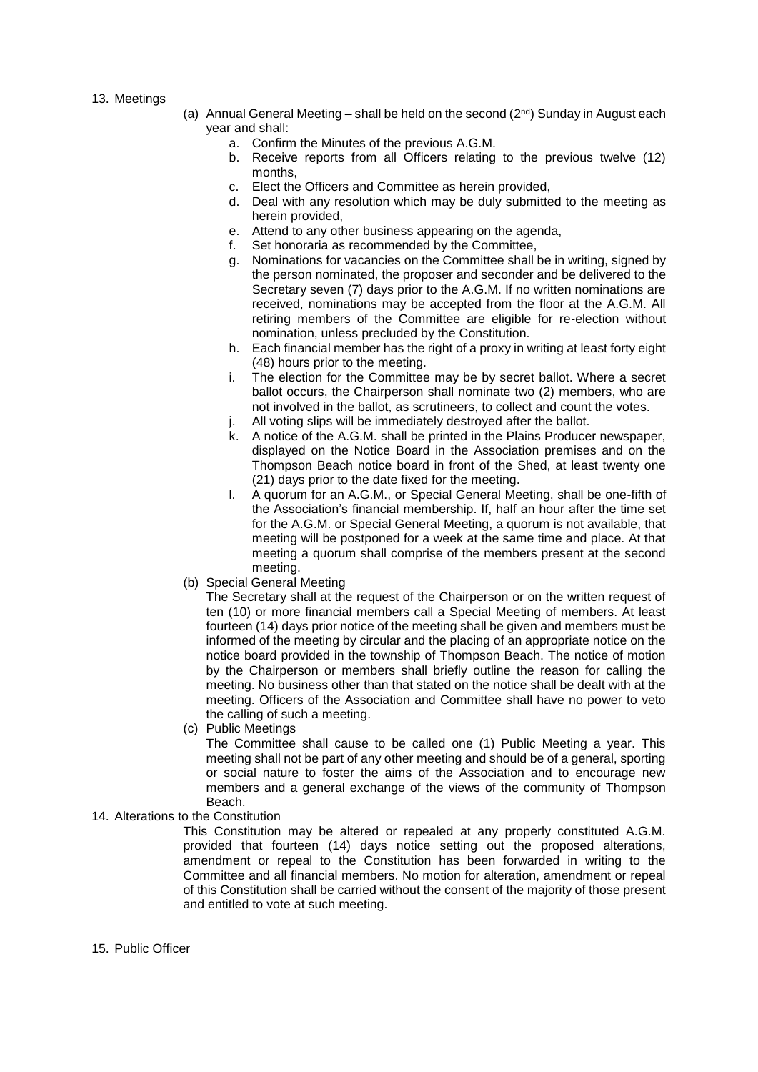#### 13. Meetings

- (a) Annual General Meeting  $-$  shall be held on the second ( $2<sup>nd</sup>$ ) Sunday in August each year and shall:
	- a. Confirm the Minutes of the previous A.G.M.
	- b. Receive reports from all Officers relating to the previous twelve (12) months,
	- c. Elect the Officers and Committee as herein provided,
	- d. Deal with any resolution which may be duly submitted to the meeting as herein provided,
	- e. Attend to any other business appearing on the agenda,
	- f. Set honoraria as recommended by the Committee,
	- g. Nominations for vacancies on the Committee shall be in writing, signed by the person nominated, the proposer and seconder and be delivered to the Secretary seven (7) days prior to the A.G.M. If no written nominations are received, nominations may be accepted from the floor at the A.G.M. All retiring members of the Committee are eligible for re-election without nomination, unless precluded by the Constitution.
	- h. Each financial member has the right of a proxy in writing at least forty eight (48) hours prior to the meeting.
	- i. The election for the Committee may be by secret ballot. Where a secret ballot occurs, the Chairperson shall nominate two (2) members, who are not involved in the ballot, as scrutineers, to collect and count the votes.
	- All voting slips will be immediately destroyed after the ballot.
	- k. A notice of the A.G.M. shall be printed in the Plains Producer newspaper, displayed on the Notice Board in the Association premises and on the Thompson Beach notice board in front of the Shed, at least twenty one (21) days prior to the date fixed for the meeting.
	- l. A quorum for an A.G.M., or Special General Meeting, shall be one-fifth of the Association's financial membership. If, half an hour after the time set for the A.G.M. or Special General Meeting, a quorum is not available, that meeting will be postponed for a week at the same time and place. At that meeting a quorum shall comprise of the members present at the second meeting.
- (b) Special General Meeting

The Secretary shall at the request of the Chairperson or on the written request of ten (10) or more financial members call a Special Meeting of members. At least fourteen (14) days prior notice of the meeting shall be given and members must be informed of the meeting by circular and the placing of an appropriate notice on the notice board provided in the township of Thompson Beach. The notice of motion by the Chairperson or members shall briefly outline the reason for calling the meeting. No business other than that stated on the notice shall be dealt with at the meeting. Officers of the Association and Committee shall have no power to veto the calling of such a meeting.

(c) Public Meetings

The Committee shall cause to be called one (1) Public Meeting a year. This meeting shall not be part of any other meeting and should be of a general, sporting or social nature to foster the aims of the Association and to encourage new members and a general exchange of the views of the community of Thompson **Beach** 

## 14. Alterations to the Constitution

This Constitution may be altered or repealed at any properly constituted A.G.M. provided that fourteen (14) days notice setting out the proposed alterations, amendment or repeal to the Constitution has been forwarded in writing to the Committee and all financial members. No motion for alteration, amendment or repeal of this Constitution shall be carried without the consent of the majority of those present and entitled to vote at such meeting.

15. Public Officer